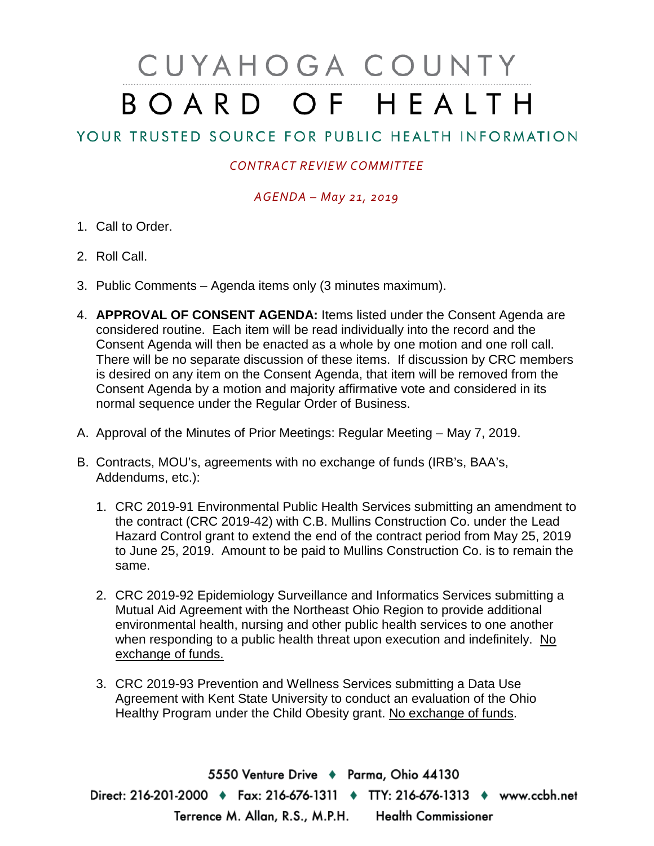# CUYAHOGA COUNTY BOARD OF HEALTH

## YOUR TRUSTED SOURCE FOR PUBLIC HEALTH INFORMATION

### *CONTRACT REVIEW COMMITTEE*

#### *AGENDA – May 21, 2019*

- 1. Call to Order.
- 2. Roll Call.
- 3. Public Comments Agenda items only (3 minutes maximum).
- 4. **APPROVAL OF CONSENT AGENDA:** Items listed under the Consent Agenda are considered routine. Each item will be read individually into the record and the Consent Agenda will then be enacted as a whole by one motion and one roll call. There will be no separate discussion of these items. If discussion by CRC members is desired on any item on the Consent Agenda, that item will be removed from the Consent Agenda by a motion and majority affirmative vote and considered in its normal sequence under the Regular Order of Business.
- A. Approval of the Minutes of Prior Meetings: Regular Meeting May 7, 2019.
- B. Contracts, MOU's, agreements with no exchange of funds (IRB's, BAA's, Addendums, etc.):
	- 1. CRC 2019-91 Environmental Public Health Services submitting an amendment to the contract (CRC 2019-42) with C.B. Mullins Construction Co. under the Lead Hazard Control grant to extend the end of the contract period from May 25, 2019 to June 25, 2019. Amount to be paid to Mullins Construction Co. is to remain the same.
	- 2. CRC 2019-92 Epidemiology Surveillance and Informatics Services submitting a Mutual Aid Agreement with the Northeast Ohio Region to provide additional environmental health, nursing and other public health services to one another when responding to a public health threat upon execution and indefinitely. No exchange of funds.
	- 3. CRC 2019-93 Prevention and Wellness Services submitting a Data Use Agreement with Kent State University to conduct an evaluation of the Ohio Healthy Program under the Child Obesity grant. No exchange of funds.

5550 Venture Drive + Parma, Ohio 44130 Direct: 216-201-2000 • Fax: 216-676-1311 • TTY: 216-676-1313 • www.ccbh.net Terrence M. Allan, R.S., M.P.H. Health Commissioner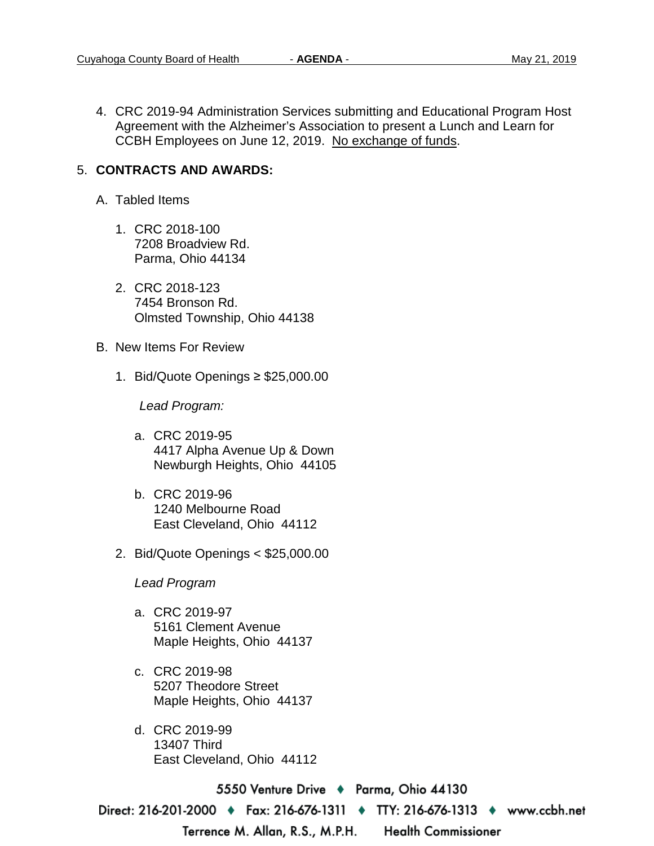4. CRC 2019-94 Administration Services submitting and Educational Program Host Agreement with the Alzheimer's Association to present a Lunch and Learn for CCBH Employees on June 12, 2019. No exchange of funds.

#### 5. **CONTRACTS AND AWARDS:**

- A. Tabled Items
	- 1. CRC 2018-100 7208 Broadview Rd. Parma, Ohio 44134
	- 2. CRC 2018-123 7454 Bronson Rd. Olmsted Township, Ohio 44138
- B. New Items For Review
	- 1. Bid/Quote Openings ≥ \$25,000.00

*Lead Program:*

- a. CRC 2019-95 4417 Alpha Avenue Up & Down Newburgh Heights, Ohio 44105
- b. CRC 2019-96 1240 Melbourne Road East Cleveland, Ohio 44112
- 2. Bid/Quote Openings < \$25,000.00

*Lead Program* 

- a. CRC 2019-97 5161 Clement Avenue Maple Heights, Ohio 44137
- c. CRC 2019-98 5207 Theodore Street Maple Heights, Ohio 44137
- d. CRC 2019-99 13407 Third East Cleveland, Ohio 44112

5550 Venture Drive ♦ Parma, Ohio 44130

Direct: 216-201-2000 ♦ Fax: 216-676-1311 ♦ TTY: 216-676-1313 ♦ www.ccbh.net

Terrence M. Allan, R.S., M.P.H.

**Health Commissioner**